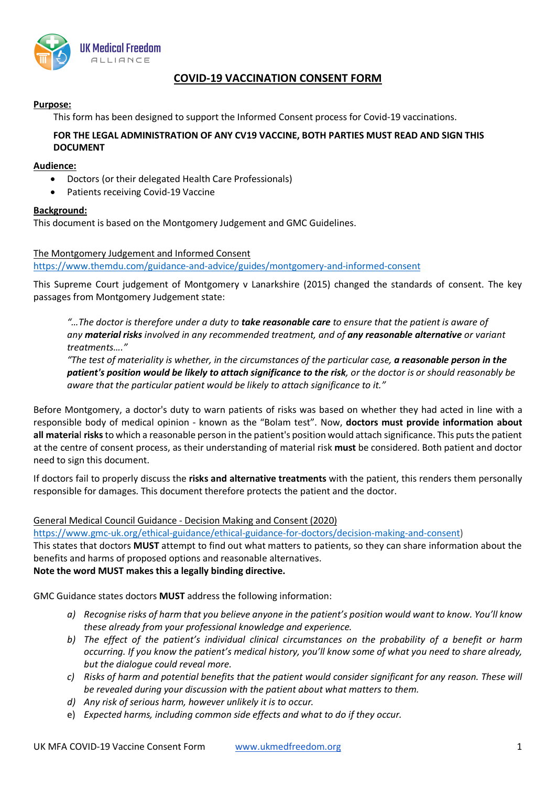

# **COVID-19 VACCINATION CONSENT FORM**

# **Purpose:**

This form has been designed to support the Informed Consent process for Covid-19 vaccinations.

# **FOR THE LEGAL ADMINISTRATION OF ANY CV19 VACCINE, BOTH PARTIES MUST READ AND SIGN THIS DOCUMENT**

# **Audience:**

- Doctors (or their delegated Health Care Professionals)
- Patients receiving Covid-19 Vaccine

# **Background:**

This document is based on the Montgomery Judgement and GMC Guidelines.

# The Montgomery Judgement and Informed Consent

https://www.themdu.com/guidance-and-advice/guides/montgomery-and-informed-consent

This Supreme Court judgement of Montgomery v Lanarkshire (2015) changed the standards of consent. The key passages from Montgomery Judgement state:

*"…The doctor is therefore under a duty to take reasonable care to ensure that the patient is aware of any material risks involved in any recommended treatment, and of any reasonable alternative or variant treatments…."*

*"The test of materiality is whether, in the circumstances of the particular case, a reasonable person in the patient's position would be likely to attach significance to the risk, or the doctor is or should reasonably be aware that the particular patient would be likely to attach significance to it."*

Before Montgomery, a doctor's duty to warn patients of risks was based on whether they had acted in line with a responsible body of medical opinion - known as the "Bolam test". Now, **doctors must provide information about all materia**l **risks**to which a reasonable person in the patient's position would attach significance. This puts the patient at the centre of consent process, as their understanding of material risk **must** be considered. Both patient and doctor need to sign this document.

If doctors fail to properly discuss the **risks and alternative treatments** with the patient, this renders them personally responsible for damages. This document therefore protects the patient and the doctor.

# General Medical Council Guidance - Decision Making and Consent (2020)

https://www.gmc-uk.org/ethical-guidance/ethical-guidance-for-doctors/decision-making-and-consent)

This states that doctors **MUST** attempt to find out what matters to patients, so they can share information about the benefits and harms of proposed options and reasonable alternatives.

# **Note the word MUST makes this a legally binding directive.**

GMC Guidance states doctors **MUST** address the following information:

- *a) Recognise risks of harm that you believe anyone in the patient's position would want to know. You'll know these already from your professional knowledge and experience.*
- *b) The effect of the patient's individual clinical circumstances on the probability of a benefit or harm occurring. If you know the patient's medical history, you'll know some of what you need to share already, but the dialogue could reveal more.*
- *c) Risks of harm and potential benefits that the patient would consider significant for any reason. These will be revealed during your discussion with the patient about what matters to them.*
- *d) Any risk of serious harm, however unlikely it is to occur.*
- e) *Expected harms, including common side effects and what to do if they occur.*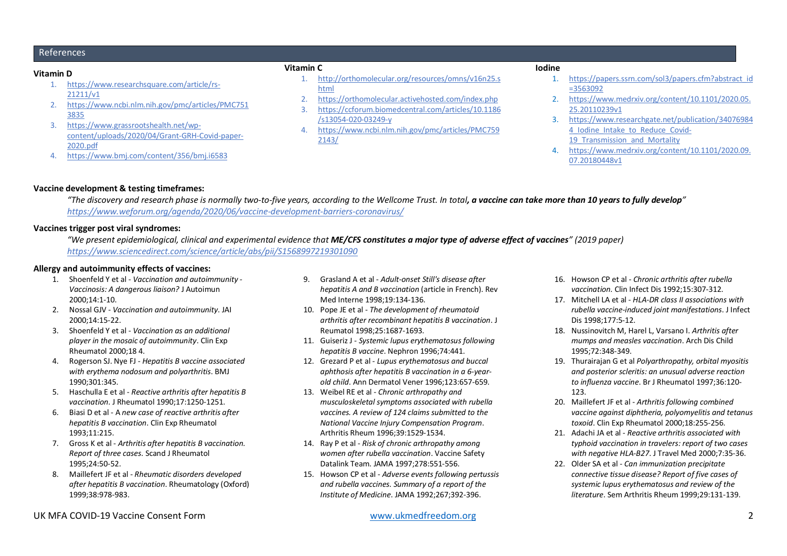## References

#### **Vitamin D**

- 1. https://www.researchsquare.com/article/rs-21211/v1
- 2. https://www.ncbi.nlm.nih.gov/pmc/articles/PMC751 3835
- 3. https://www.grassrootshealth.net/wpcontent/uploads/2020/04/Grant-GRH-Covid-paper-2020.pdf
- 4. https://www.bmj.com/content/356/bmj.i6583

#### **Vitamin C**

- 1. http://orthomolecular.org/resources/omns/v16n25.s html
- 2. https://orthomolecular.activehosted.com/index.php<br>3. https://ccforum.biomedcentral.com/articles/10.1186
- 3. https://ccforum.biomedcentral.com/articles/10.1186 /s13054-020-03249-y
- 4. https://www.ncbi.nlm.nih.gov/pmc/articles/PMC759 2143/

#### **Iodine**

- 1. https://papers.ssrn.com/sol3/papers.cfm?abstract\_id =3563092
- 2. https://www.medrxiv.org/content/10.1101/2020.05. 25.20110239v1
- 3. https://www.researchgate.net/publication/34076984 4 Iodine Intake to Reduce Covid-19 Transmission and Mortality
- 4. https://www.medrxiv.org/content/10.1101/2020.09. 07.20180448v1

### **Vaccine development & testing timeframes:**

*"The discovery and research phase is normally two-to-five years, according to the Wellcome Trust. In total, a vaccine can take more than 10 years to fully develop" https://www.weforum.org/agenda/2020/06/vaccine-development-barriers-coronavirus/*

## **Vaccines trigger post viral syndromes:**

*"We present epidemiological, clinical and experimental evidence that ME/CFS constitutes a major type of adverse effect of vaccines" (2019 paper) https://www.sciencedirect.com/science/article/abs/pii/S1568997219301090*

### **Allergy and autoimmunity effects of vaccines:**

- 1. Shoenfeld Y et al *Vaccination and autoimmunity - Vaccinosis: A dangerous liaison?* J Autoimun 2000;14:1-10.
- 2. Nossal GJV *Vaccination and autoimmunity*. JAI 2000;14:15-22.
- 3. Shoenfeld Y et al *Vaccination as an additional player in the mosaic of autoimmunity*. Clin Exp Rheumatol 2000;18 4.
- 4. Rogerson SJ. Nye FJ *Hepatitis B vaccine associated with erythema nodosum and polyarthritis*. BMJ 1990;301:345.
- 5. Haschulla E et al *Reactive arthritis after hepatitis B vaccination*. J Rheumatol 1990;17:1250-1251.
- 6. Biasi D et al A *new case of reactive arthritis after hepatitis B vaccination*. Clin Exp Rheumatol 1993;11:215.
- 7. Gross K et al *Arthritis after hepatitis B vaccination. Report of three cases*. Scand J Rheumatol 1995;24:50-52.
- 8. Maillefert JF et al *Rheumatic disorders developed after hepatitis B vaccination*. Rheumatology (Oxford) 1999;38:978-983.
- 9. Grasland A et al *Adult-onset Still's disease after hepatitis A and B vaccination* (article in French). Rev Med Interne 1998;19:134-136.
- 10. Pope JE et al *The development of rheumatoid arthritis after recombinant hepatitis B vaccination*. J Reumatol 1998;25:1687-1693.
- 11. Guiseriz J *Systemic lupus erythematosus following hepatitis B vaccine*. Nephron 1996;74:441.
- 12. Grezard P et al *- Lupus erythematosus and buccal aphthosis after hepatitis B vaccination in a 6-yearold child*. Ann Dermatol Vener 1996;123:657-659.
- 13. Weibel RE et al *Chronic arthropathy and musculoskeletal symptoms associated with rubella vaccines. A review of 124 claims submitted to the National Vaccine Injury Compensation Program*. Arthritis Rheum 1996;39:1529-1534.
- 14. Ray P et al *Risk of chronic arthropathy among women after rubella vaccination*. Vaccine Safety Datalink Team. JAMA 1997;278:551-556.
- 15. Howson CP et al *Adverse events following pertussis and rubella vaccines. Summary of a report of the Institute of Medicine*. JAMA 1992;267;392-396.
- 16. Howson CP et al *Chronic arthritis after rubella vaccination*. Clin Infect Dis 1992;15:307-312.
- 17. Mitchell LA et al *HLA-DR class II associations with rubella vaccine-induced joint manifestations*. J Infect Dis 1998;177:5-12.
- 18. Nussinovitch M, Harel L, Varsano I. *Arthritis after mumps and measles vaccination*. Arch Dis Child 1995;72:348-349.
- 19. Thurairajan G et al *Polyarthropathy, orbital myositis and posterior scleritis: an unusual adverse reaction to influenza vaccine*. Br J Rheumatol 1997;36:120- 123.
- 20. Maillefert JF et al *Arthritis following combined vaccine against diphtheria, polyomyelitis and tetanus toxoid*. Clin Exp Rheumatol 2000;18:255-256.
- 21. Adachi JA et al *Reactive arthritis associated with typhoid vaccination in travelers: report of two cases with negative HLA-B27*. J Travel Med 2000;7:35-36.
- 22. Older SA et al *Can immunization precipitate connective tissue disease? Report of five cases of systemic lupus erythematosus and review of the literature*. Sem Arthritis Rheum 1999;29:131-139.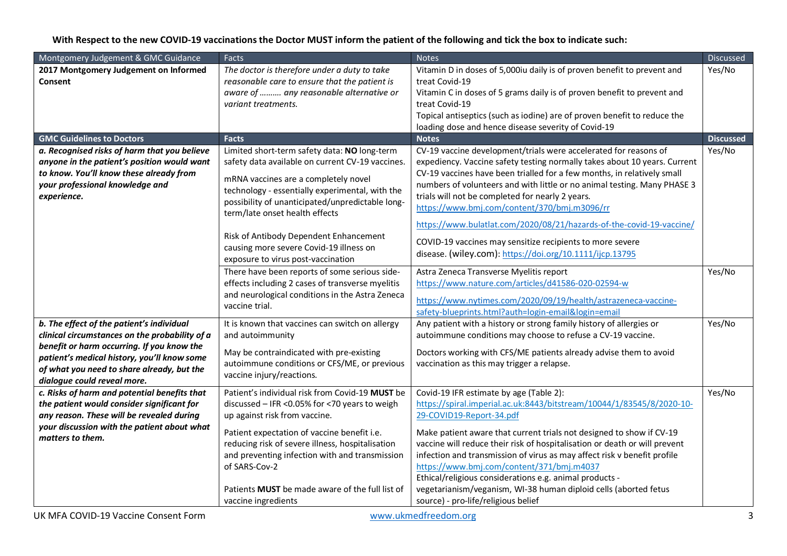# **With Respect to the new COVID-19 vaccinations the Doctor MUST inform the patient of the following and tick the box to indicate such:**

| 2017 Montgomery Judgement on Informed<br>Vitamin D in doses of 5,000iu daily is of proven benefit to prevent and<br>Yes/No<br>The doctor is therefore under a duty to take<br>treat Covid-19<br>reasonable care to ensure that the patient is<br>Consent<br>aware of  any reasonable alternative or<br>Vitamin C in doses of 5 grams daily is of proven benefit to prevent and |
|--------------------------------------------------------------------------------------------------------------------------------------------------------------------------------------------------------------------------------------------------------------------------------------------------------------------------------------------------------------------------------|
|                                                                                                                                                                                                                                                                                                                                                                                |
|                                                                                                                                                                                                                                                                                                                                                                                |
|                                                                                                                                                                                                                                                                                                                                                                                |
| treat Covid-19<br>variant treatments.                                                                                                                                                                                                                                                                                                                                          |
| Topical antiseptics (such as iodine) are of proven benefit to reduce the                                                                                                                                                                                                                                                                                                       |
| loading dose and hence disease severity of Covid-19                                                                                                                                                                                                                                                                                                                            |
| <b>GMC Guidelines to Doctors</b><br><b>Discussed</b><br><b>Notes</b><br><b>Facts</b>                                                                                                                                                                                                                                                                                           |
| CV-19 vaccine development/trials were accelerated for reasons of<br>Yes/No<br>a. Recognised risks of harm that you believe<br>Limited short-term safety data: NO long-term                                                                                                                                                                                                     |
| anyone in the patient's position would want<br>safety data available on current CV-19 vaccines.<br>expediency. Vaccine safety testing normally takes about 10 years. Current                                                                                                                                                                                                   |
| to know. You'll know these already from<br>CV-19 vaccines have been trialled for a few months, in relatively small<br>mRNA vaccines are a completely novel                                                                                                                                                                                                                     |
| numbers of volunteers and with little or no animal testing. Many PHASE 3<br>your professional knowledge and<br>technology - essentially experimental, with the                                                                                                                                                                                                                 |
| trials will not be completed for nearly 2 years.<br>experience.<br>possibility of unanticipated/unpredictable long-                                                                                                                                                                                                                                                            |
| https://www.bmj.com/content/370/bmj.m3096/rr<br>term/late onset health effects                                                                                                                                                                                                                                                                                                 |
| https://www.bulatlat.com/2020/08/21/hazards-of-the-covid-19-vaccine/                                                                                                                                                                                                                                                                                                           |
| Risk of Antibody Dependent Enhancement                                                                                                                                                                                                                                                                                                                                         |
| COVID-19 vaccines may sensitize recipients to more severe<br>causing more severe Covid-19 illness on                                                                                                                                                                                                                                                                           |
| disease. (wiley.com): https://doi.org/10.1111/ijcp.13795<br>exposure to virus post-vaccination                                                                                                                                                                                                                                                                                 |
| Yes/No<br>There have been reports of some serious side-<br>Astra Zeneca Transverse Myelitis report                                                                                                                                                                                                                                                                             |
| effects including 2 cases of transverse myelitis<br>https://www.nature.com/articles/d41586-020-02594-w                                                                                                                                                                                                                                                                         |
| and neurological conditions in the Astra Zeneca                                                                                                                                                                                                                                                                                                                                |
| https://www.nytimes.com/2020/09/19/health/astrazeneca-vaccine-<br>vaccine trial.                                                                                                                                                                                                                                                                                               |
| safety-blueprints.html?auth=login-email&login=email                                                                                                                                                                                                                                                                                                                            |
| Any patient with a history or strong family history of allergies or<br>b. The effect of the patient's individual<br>Yes/No<br>It is known that vaccines can switch on allergy                                                                                                                                                                                                  |
| clinical circumstances on the probability of a<br>and autoimmunity<br>autoimmune conditions may choose to refuse a CV-19 vaccine.                                                                                                                                                                                                                                              |
| benefit or harm occurring. If you know the<br>May be contraindicated with pre-existing<br>Doctors working with CFS/ME patients already advise them to avoid                                                                                                                                                                                                                    |
| patient's medical history, you'll know some<br>autoimmune conditions or CFS/ME, or previous<br>vaccination as this may trigger a relapse.                                                                                                                                                                                                                                      |
| of what you need to share already, but the<br>vaccine injury/reactions.                                                                                                                                                                                                                                                                                                        |
| dialogue could reveal more.                                                                                                                                                                                                                                                                                                                                                    |
| Patient's individual risk from Covid-19 MUST be<br>Covid-19 IFR estimate by age (Table 2):<br>Yes/No<br>c. Risks of harm and potential benefits that                                                                                                                                                                                                                           |
| https://spiral.imperial.ac.uk:8443/bitstream/10044/1/83545/8/2020-10-<br>the patient would consider significant for<br>discussed - IFR <0.05% for <70 years to weigh                                                                                                                                                                                                           |
| any reason. These will be revealed during<br>29-COVID19-Report-34.pdf<br>up against risk from vaccine.                                                                                                                                                                                                                                                                         |
| your discussion with the patient about what<br>Patient expectation of vaccine benefit i.e.<br>Make patient aware that current trials not designed to show if CV-19                                                                                                                                                                                                             |
| matters to them.<br>vaccine will reduce their risk of hospitalisation or death or will prevent<br>reducing risk of severe illness, hospitalisation                                                                                                                                                                                                                             |
| infection and transmission of virus as may affect risk v benefit profile<br>and preventing infection with and transmission                                                                                                                                                                                                                                                     |
| of SARS-Cov-2<br>https://www.bmj.com/content/371/bmj.m4037                                                                                                                                                                                                                                                                                                                     |
| Ethical/religious considerations e.g. animal products -                                                                                                                                                                                                                                                                                                                        |
| vegetarianism/veganism, WI-38 human diploid cells (aborted fetus<br>Patients <b>MUST</b> be made aware of the full list of                                                                                                                                                                                                                                                     |
| source) - pro-life/religious belief<br>vaccine ingredients                                                                                                                                                                                                                                                                                                                     |